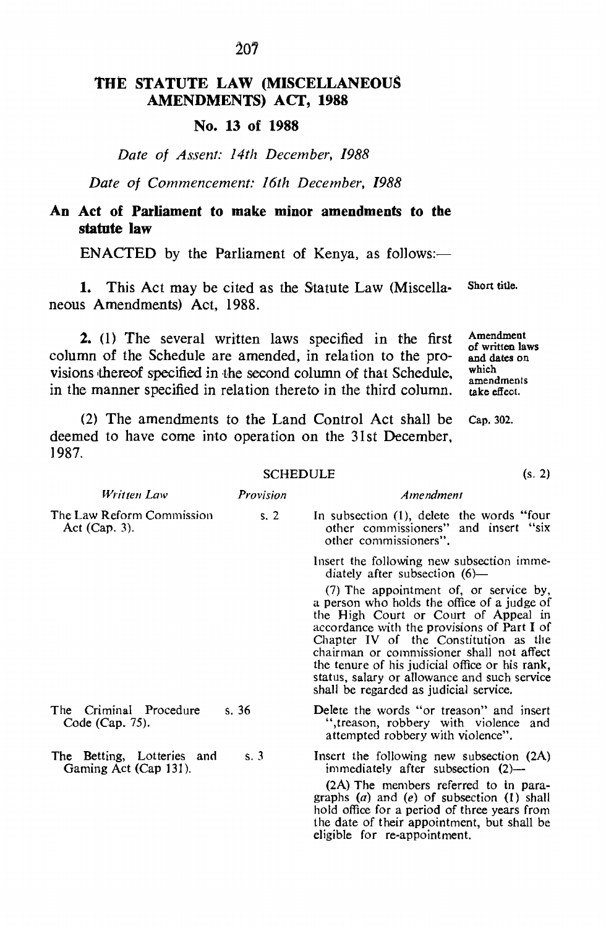# THE STATUTE LAW (MISCELLANEOUS AMENDMENTS) ACT, 1988

### No. 13 of 1988

### *Date of Assent: 14th December, 1988*

*Date of Commencement: 16th December, 1988*

# An Act of Parliament to make minor amendments to the statute law

ENACTED by the Parliament of Kenya, as follows: $-$ 

1. This Act may be cited as the Statute Law (Miscellaneous Amendments) Act, 1988. Short title.

2. (l) The several written laws specified in the first column of the Schedule are amended. in relation to the provisions thereof specified in the second column of that Schedule. in the manner specified in relation thereto in the third column.

(2) The amendments to the Land Control Act shall be deemed to have come into operation on the 31st December, 1987. Cap. 302.

#### **SCHEDULE**

| Written Law                                         | Provision | Amendment                                                                                                                                                                                                                                                                                                                                                                                                      |
|-----------------------------------------------------|-----------|----------------------------------------------------------------------------------------------------------------------------------------------------------------------------------------------------------------------------------------------------------------------------------------------------------------------------------------------------------------------------------------------------------------|
| The Law Reform Commission<br>Act $(Cap. 3)$ .       | s.2       | In subsection (1), delete the words "four<br>other commissioners" and insert "six<br>other commissioners".                                                                                                                                                                                                                                                                                                     |
|                                                     |           | Insert the following new subsection imme-<br>diately after subsection $(6)$ —                                                                                                                                                                                                                                                                                                                                  |
|                                                     |           | (7) The appointment of, or service by,<br>a person who holds the office of a judge of<br>the High Court or Court of Appeal in<br>accordance with the provisions of Part I of<br>Chapter IV of the Constitution as the<br>chairman or commissioner shall not affect<br>the tenure of his judicial office or his rank,<br>status, salary or allowance and such service<br>shall be regarded as judicial service. |
| The Criminal Procedure<br>Code (Cap. 75).           | s.36      | Delete the words "or treason" and insert<br>", treason, robbery with violence and<br>attempted robbery with violence".                                                                                                                                                                                                                                                                                         |
| The Betting, Lotteries and<br>Gaming Act (Cap 131). | s.3       | Insert the following new subsection (2A)<br>immediately after subsection $(2)$ —                                                                                                                                                                                                                                                                                                                               |
|                                                     |           | (2A) The members referred to in para-<br>graphs $(a)$ and $(e)$ of subsection $(1)$ shall<br>hold office for a period of three years from<br>the date of their appointment, but shall be<br>eligible for re-appointment.                                                                                                                                                                                       |

Amendment of written laws and dates on

which

amendments take effect.

(s. 2)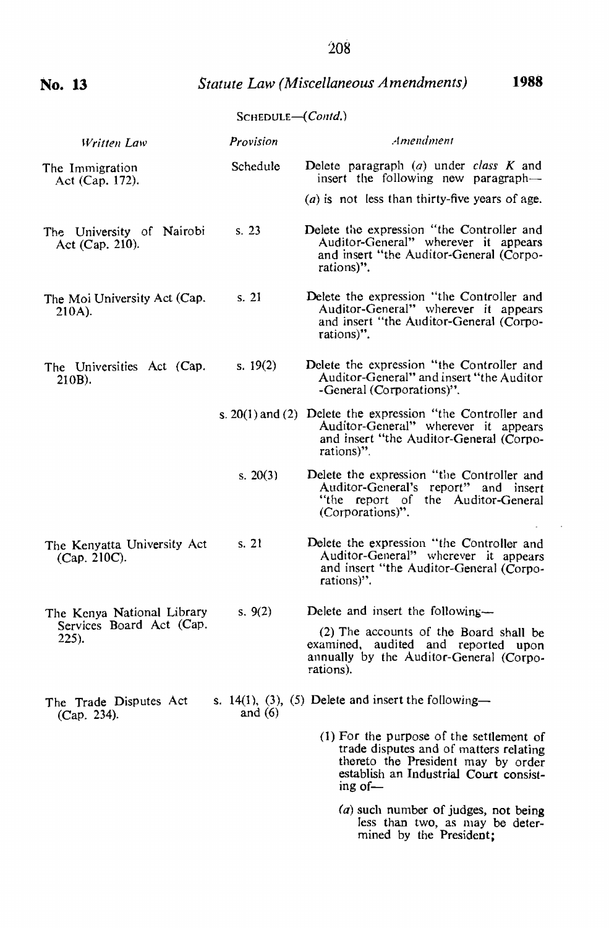**No. 13**

## SCHEDULE-(Contd.)

| Written Law                                     | Provision  | Amendment                                                                                                                                                                     |
|-------------------------------------------------|------------|-------------------------------------------------------------------------------------------------------------------------------------------------------------------------------|
| The Immigration<br>Act (Cap. 172).              | Schedule   | Delete paragraph $(a)$ under class $K$ and<br>insert the following new paragraph-                                                                                             |
|                                                 |            | ( <i>a</i> ) is not less than thirty-five years of age.                                                                                                                       |
| The University of Nairobi<br>Act $(Cap. 210)$ . | s. 23      | Delete the expression "the Controller and<br>Auditor-General" wherever it appears<br>and insert "the Auditor-General (Corpo-<br>rations)".                                    |
| The Moi University Act (Cap.<br>210A).          | s. 21      | Delete the expression "the Controller and<br>Auditor-General" wherever it appears<br>and insert "the Auditor-General (Corpo-<br>rations)".                                    |
| The Universities Act (Cap.<br>$210B$ ).         | s. $19(2)$ | Delete the expression "the Controller and<br>Auditor-General" and insert "the Auditor<br>-General (Corporations)".                                                            |
|                                                 |            | s. $20(1)$ and (2) Delete the expression "the Controller and<br>Auditor-General" wherever it appears<br>and insert "the Auditor-General (Corpo-<br>rations)".                 |
|                                                 | s. $20(3)$ | Delete the expression "the Controller and<br>Auditor-General's report" and insert<br>"the report of the Auditor-General"<br>(Corporations)".                                  |
| The Kenyatta University Act<br>(Cap. 210C).     | s.21       | Delete the expression "the Controller and<br>Auditor-General" wherever it appears<br>and insert "the Auditor-General (Corpo-<br>rations)".                                    |
| The Kenya National Library                      | s. $9(2)$  | Delete and insert the following—                                                                                                                                              |
| Services Board Act (Cap.<br>$225$ ).            |            | (2) The accounts of the Board shall be<br>examined, audited and reported upon<br>annually by the Auditor-General (Corpo-<br>rations).                                         |
| The Trade Disputes Act<br>(Cap. 234).           | and $(6)$  | s. 14(1), (3), (5) Delete and insert the following-                                                                                                                           |
|                                                 |            | (1) For the purpose of the settlement of<br>trade disputes and of matters relating<br>thereto the President may by order<br>establish an Industrial Court consist-<br>ing of- |

 $(a)$  such number of judges, not being Jess than two, as may be determined by the President;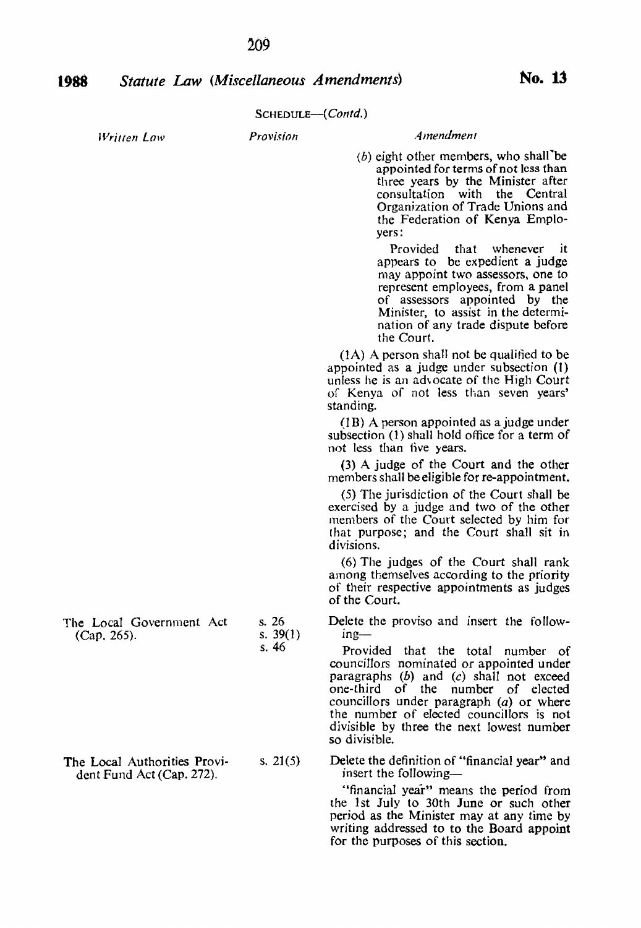*wna;» Law*

### SCHEDULE-(*Contd.)*

| the Federation of Kenya Emplo-<br>yers:                                                                                                                                                                                                                            |
|--------------------------------------------------------------------------------------------------------------------------------------------------------------------------------------------------------------------------------------------------------------------|
| Provided that whenever it<br>appears to be expedient a judge<br>may appoint two assessors, one to<br>represent employees, from a panel<br>of assessors appointed by the<br>Minister, to assist in the determi-<br>nation of any trade dispute before<br>the Court. |
| $(1A)$ A person shall not be qualified to be<br>appointed as a judge under subsection $(1)$<br>unless he is an advocate of the High Court<br>of Kenya of not less than seven years'<br>standing.                                                                   |
| (1B) A person appointed as a judge under<br>subsection (1) shall hold office for a term of<br>not less than five years.                                                                                                                                            |
| (3) A judge of the Court and the other<br>members shall be eligible for re-appointment.                                                                                                                                                                            |
| (5) The jurisdiction of the Court shall be<br>exercised by a judge and two of the other<br>members of the Court selected by him for<br>that purpose; and the Court shall sit in<br>divisions.                                                                      |
| (6) The judges of the Court shall rank<br>among themselves according to the priority<br>of their respective appointments as judges<br>of the Court.                                                                                                                |
|                                                                                                                                                                                                                                                                    |

s.26

Delete the proviso and insert the following-

*Amendment* (b) eight other members, who shall'be appointed for terms of not less than three years by the Minister after consultation with the Central Organization of Trade Unions and

Provided that the total number of councillors nominated or appointed under paragraphs  $(b)$  and  $(c)$  shall not exceed one-third of the number of elected councillors under paragraph (a) or where the number of elected councillors is not divisible by three the next lowest number so divisible.

Delete the definition of "financial year" and insert the following-

"financial year" means the period from the *1st* July to 30th June or such other period as the Minister may at any time by writing addressed to to the Board appoint for the purposes of this section.

| $110$ LOCal GOVGITHICH ACT | $\cdots$   |
|----------------------------|------------|
| $(Cap. 265)$ .             | s. $39(1)$ |
|                            | s. 46      |
|                            |            |

The Local Government Act

| The Local Authorities Provi- | s. $21(5)$ |
|------------------------------|------------|
| dent Fund Act (Cap. 272).    |            |

*Provision*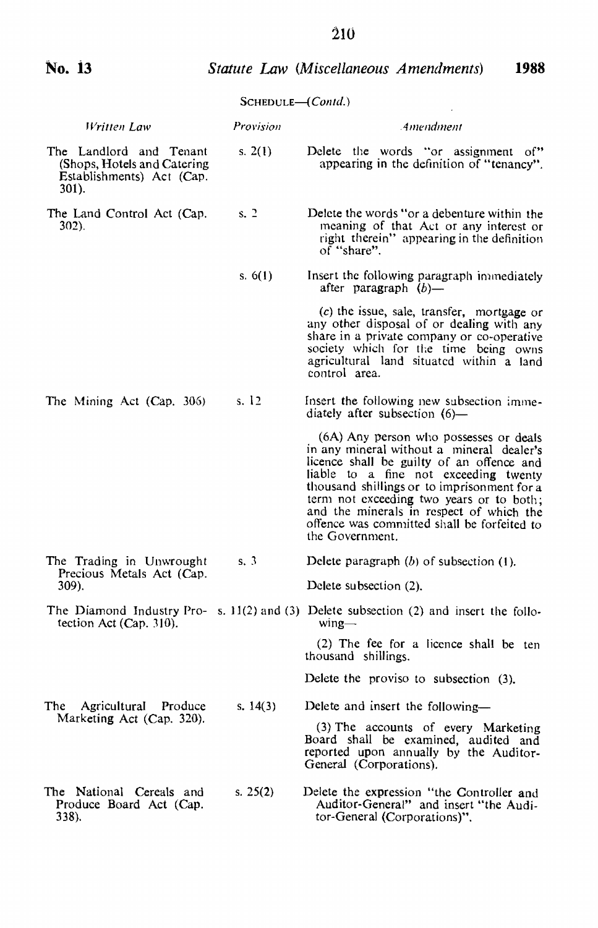#### *Statute* Law *(Miscellaneous Amendments)* **1988**

# SCHEDULE-(*Contd.*)

|                                                                                              | $JCHEDULE$ COMM. |                                                                                                                                                                                                                                                                                                                                                                                    |
|----------------------------------------------------------------------------------------------|------------------|------------------------------------------------------------------------------------------------------------------------------------------------------------------------------------------------------------------------------------------------------------------------------------------------------------------------------------------------------------------------------------|
| Written Law                                                                                  | Provision        | Amendment                                                                                                                                                                                                                                                                                                                                                                          |
| The Landlord and Tenant<br>(Shops, Hotels and Catering<br>Establishments) Act (Cap.<br>301). | s. $2(1)$        | Delete the words "or assignment of"<br>appearing in the definition of "tenancy".                                                                                                                                                                                                                                                                                                   |
| The Land Control Act (Cap.<br>302).                                                          | s. 2             | Delete the words "or a debenture within the<br>meaning of that Act or any interest or<br>right therein" appearing in the definition<br>of "share".                                                                                                                                                                                                                                 |
|                                                                                              | s. $6(1)$        | Insert the following paragraph immediately<br>after paragraph $(b)$ —                                                                                                                                                                                                                                                                                                              |
|                                                                                              |                  | $(c)$ the issue, sale, transfer, mortgage or<br>any other disposal of or dealing with any<br>share in a private company or co-operative<br>society which for the time being owns<br>agricultural land situated within a land<br>control area.                                                                                                                                      |
| The Mining Act (Cap. 306)                                                                    | s. $12$          | Insert the following new subsection imme-<br>diately after subsection $(6)$ —                                                                                                                                                                                                                                                                                                      |
|                                                                                              |                  | (6A) Any person who possesses or deals<br>in any mineral without a mineral dealer's<br>licence shall be guilty of an offence and<br>liable to a fine not exceeding twenty<br>thousand shillings or to imprisonment for a<br>term not exceeding two years or to both;<br>and the minerals in respect of which the<br>offence was committed shall be forfeited to<br>the Government. |
| s.3<br>The Trading in Unwrought<br>Precious Metals Act (Cap.                                 |                  | Delete paragraph $(b)$ of subsection $(1)$ .                                                                                                                                                                                                                                                                                                                                       |
| 309).                                                                                        |                  | Delete subsection (2).                                                                                                                                                                                                                                                                                                                                                             |
| tection Act (Cap. 310).                                                                      |                  | The Diamond Industry Pro- s. 11(2) and (3) Delete subsection (2) and insert the follo-<br>$wing-$                                                                                                                                                                                                                                                                                  |
|                                                                                              |                  | (2) The fee for a licence shall be ten<br>thousand shillings.                                                                                                                                                                                                                                                                                                                      |
|                                                                                              |                  | Delete the proviso to subsection (3).                                                                                                                                                                                                                                                                                                                                              |
| The<br>Agricultural Produce<br>Marketing Act (Cap. 320).                                     | s. $14(3)$       | Delete and insert the following—                                                                                                                                                                                                                                                                                                                                                   |
|                                                                                              |                  | (3) The accounts of every Marketing<br>Board shall be examined, audited and<br>reported upon annually by the Auditor-<br>General (Corporations).                                                                                                                                                                                                                                   |
| The National Cereals and<br>Produce Board Act (Cap.<br>338).                                 | s. $25(2)$       | Delete the expression "the Controller and<br>Auditor-General" and insert "the Audi-<br>tor-General (Corporations)".                                                                                                                                                                                                                                                                |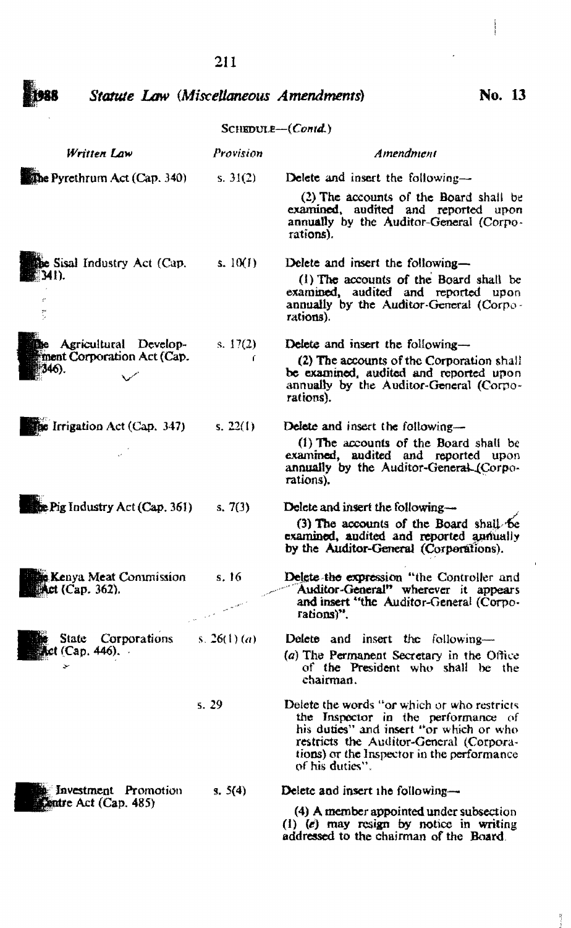### 211

1988

•

like.

ŕ,

*Written Law*

*Statute Low (MisceUaneous Amendments)*

*Provision*

SCHEDULE-(Contd.)

The Pyrethrum Act (Cap. 340) s. 31(2) Delete and insert the following-(2) The accounts of the Board shall be examined. audited and reported upon annually by the Auditor-General (Corporations). be Sisal Industry Act (Cap. s, 10(1) Delete and insert the following-341) (1) The accounts of the Board shall be examined. audited and reported upon annually by the Auditor-General (Corporations). Agricultural Develop g. 17(1) Delete and insert the following-\*ment Corporation Act (Cap.<br>[346).<br>\* (2) The accounts of the Corporation shall ( be examined. audited and reported upon annually by the Auditor-General (Corporations). the Irrigation Act (Cap. 347) s. 22(1) Delete and insert the following-(1) The accounts of the Board shall be examined, audited and reported upon annually by the Auditor-General (Corporations). lee Pig Industry Act (Cap. 361) s.7(3) Delete and insert the following-(3) The accounts of the Board shall be examined, and<br>ited and reported annually by the Auditor-General (Corporations). Delete-the expression "the Controller and<br>Auditor-General" wherever it appears **B Kenya Meat Commission** s, t6 **Mct (Cap. 362).** and insert "the Auditor-General (Corporations)". State Corporations s.  $26(1)$  (a) Delete and insert the following- $\text{Act}$  (Cap. 446).  $(a)$  The Permanent Secretary in the Office of the President who shall be the *»:* chairman. 5.29 Delete the words *"or* which or who restricts the Inspector in the performance of his duties" and insert "or which or who restricts the Auditor-General (Corporations) or the Inspector in the performance of his duties".

Delete and insert the following-

s. 5(4)

(4) A member appointed under subsection (1) (e) may resign by notice in writing addressed to the chairman of the Board,

No. 13

*Amendment*

<sup>5</sup>: Investment Promotion<br>**Centre Act (Cap. 485)**